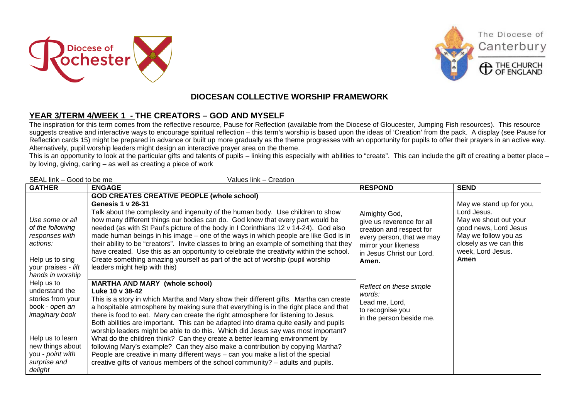





The Diocese of

Canterbury

## **DIOCESAN COLLECTIVE WORSHIP FRAMEWORK**

## **YEAR 3/TERM 4/WEEK 1 - THE CREATORS – GOD AND MYSELF**

The inspiration for this term comes from the reflective resource, Pause for Reflection (available from the Diocese of Gloucester, Jumping Fish resources). This resource suggests creative and interactive ways to encourage spiritual reflection – this term's worship is based upon the ideas of 'Creation' from the pack. A display (see Pause for Reflection cards 15) might be prepared in advance or built up more gradually as the theme progresses with an opportunity for pupils to offer their prayers in an active way. Alternatively, pupil worship leaders might design an interactive prayer area on the theme.

This is an opportunity to look at the particular gifts and talents of pupils – linking this especially with abilities to "create". This can include the gift of creating a better place – by loving, giving, caring – as well as creating a piece of work

| <b>GATHER</b>                                                                                                                                                                                                                                                                        | <b>ENGAGE</b>                                                                                                                                                                                                                                                                                                                                                                                                                                                                                                                                                                                                                                                                                                                                                                                                                                                                                                                                                                                                                                                                                                                                                                                                                                                                                                                                                                                                                                                                                                       | <b>RESPOND</b>                                                                                                                                                                                                                                                           | <b>SEND</b>                                                                                                                                                              |
|--------------------------------------------------------------------------------------------------------------------------------------------------------------------------------------------------------------------------------------------------------------------------------------|---------------------------------------------------------------------------------------------------------------------------------------------------------------------------------------------------------------------------------------------------------------------------------------------------------------------------------------------------------------------------------------------------------------------------------------------------------------------------------------------------------------------------------------------------------------------------------------------------------------------------------------------------------------------------------------------------------------------------------------------------------------------------------------------------------------------------------------------------------------------------------------------------------------------------------------------------------------------------------------------------------------------------------------------------------------------------------------------------------------------------------------------------------------------------------------------------------------------------------------------------------------------------------------------------------------------------------------------------------------------------------------------------------------------------------------------------------------------------------------------------------------------|--------------------------------------------------------------------------------------------------------------------------------------------------------------------------------------------------------------------------------------------------------------------------|--------------------------------------------------------------------------------------------------------------------------------------------------------------------------|
| Use some or all<br>of the following<br>responses with<br>actions:<br>Help us to sing<br>your praises - lift<br>hands in worship<br>Help us to<br>understand the<br>stories from your<br>book - open an<br>imaginary book<br>Help us to learn<br>new things about<br>you - point with | <b>GOD CREATES CREATIVE PEOPLE (whole school)</b><br><b>Genesis 1 v 26-31</b><br>Talk about the complexity and ingenuity of the human body. Use children to show<br>how many different things our bodies can do. God knew that every part would be<br>needed (as with St Paul's picture of the body in I Corinthians 12 v 14-24). God also<br>made human beings in his image – one of the ways in which people are like God is in<br>their ability to be "creators". Invite classes to bring an example of something that they<br>have created. Use this as an opportunity to celebrate the creativity within the school.<br>Create something amazing yourself as part of the act of worship (pupil worship<br>leaders might help with this)<br><b>MARTHA AND MARY (whole school)</b><br>Luke 10 v 38-42<br>This is a story in which Martha and Mary show their different gifts. Martha can create<br>a hospitable atmosphere by making sure that everything is in the right place and that<br>there is food to eat. Mary can create the right atmosphere for listening to Jesus.<br>Both abilities are important. This can be adapted into drama quite easily and pupils<br>worship leaders might be able to do this. Which did Jesus say was most important?<br>What do the children think? Can they create a better learning environment by<br>following Mary's example? Can they also make a contribution by copying Martha?<br>People are creative in many different ways - can you make a list of the special | Almighty God,<br>give us reverence for all<br>creation and respect for<br>every person, that we may<br>mirror your likeness<br>in Jesus Christ our Lord.<br>Amen.<br>Reflect on these simple<br>words:<br>Lead me, Lord,<br>to recognise you<br>in the person beside me. | May we stand up for you,<br>Lord Jesus.<br>May we shout out your<br>good news, Lord Jesus<br>May we follow you as<br>closely as we can this<br>week, Lord Jesus.<br>Amen |
| surprise and<br>delight                                                                                                                                                                                                                                                              | creative gifts of various members of the school community? - adults and pupils.                                                                                                                                                                                                                                                                                                                                                                                                                                                                                                                                                                                                                                                                                                                                                                                                                                                                                                                                                                                                                                                                                                                                                                                                                                                                                                                                                                                                                                     |                                                                                                                                                                                                                                                                          |                                                                                                                                                                          |